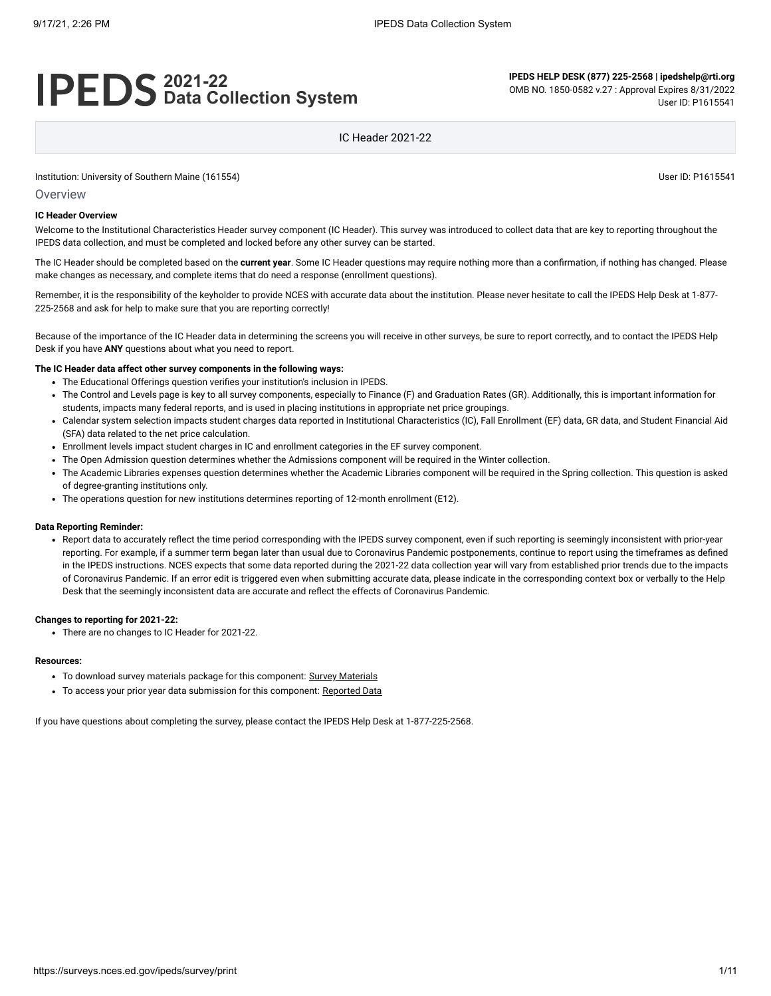# **2021-22 Data Collection System**

**IPEDS HELP DESK (877) 225-2568 | ipedshelp@rti.org** OMB NO. 1850-0582 v.27 : Approval Expires 8/31/2022 User ID: P1615541

IC Header 2021-22

Institution: University of Southern Maine (161554) User ID: P1615541

Overview

#### **IC Header Overview**

Welcome to the Institutional Characteristics Header survey component (IC Header). This survey was introduced to collect data that are key to reporting throughout the IPEDS data collection, and must be completed and locked before any other survey can be started.

The IC Header should be completed based on the **current year**. Some IC Header questions may require nothing more than a confirmation, if nothing has changed. Please make changes as necessary, and complete items that do need a response (enrollment questions).

Remember, it is the responsibility of the keyholder to provide NCES with accurate data about the institution. Please never hesitate to call the IPEDS Help Desk at 1-877-225-2568 and ask for help to make sure that you are reporting correctly!

Because of the importance of the IC Header data in determining the screens you will receive in other surveys, be sure to report correctly, and to contact the IPEDS Help Desk if you have **ANY** questions about what you need to report.

#### **The IC Header data affect other survey components in the following ways:**

- The Educational Offerings question verifies your institution's inclusion in IPEDS.
- The Control and Levels page is key to all survey components, especially to Finance (F) and Graduation Rates (GR). Additionally, this is important information for students, impacts many federal reports, and is used in placing institutions in appropriate net price groupings.
- Calendar system selection impacts student charges data reported in Institutional Characteristics (IC), Fall Enrollment (EF) data, GR data, and Student Financial Aid (SFA) data related to the net price calculation.
- Enrollment levels impact student charges in IC and enrollment categories in the EF survey component.
- The Open Admission question determines whether the Admissions component will be required in the Winter collection.
- The Academic Libraries expenses question determines whether the Academic Libraries component will be required in the Spring collection. This question is asked of degree-granting institutions only.
- The operations question for new institutions determines reporting of 12-month enrollment (E12).

#### **Data Reporting Reminder:**

Report data to accurately reflect the time period corresponding with the IPEDS survey component, even if such reporting is seemingly inconsistent with prior-year reporting. For example, if a summer term began later than usual due to Coronavirus Pandemic postponements, continue to report using the timeframes as defined in the IPEDS instructions. NCES expects that some data reported during the 2021-22 data collection year will vary from established prior trends due to the impacts of Coronavirus Pandemic. If an error edit is triggered even when submitting accurate data, please indicate in the corresponding context box or verbally to the Help Desk that the seemingly inconsistent data are accurate and reflect the effects of Coronavirus Pandemic.

#### **Changes to reporting for 2021-22:**

There are no changes to IC Header for 2021-22.

#### **Resources:**

- To download survey materials package for this component: Survey [Materials](https://surveys.nces.ed.gov/ipeds/public/survey-materials/index)
- To access your prior year data submission for this component: [Reported Data](javascript:openReportedData(161554, 12))

If you have questions about completing the survey, please contact the IPEDS Help Desk at 1-877-225-2568.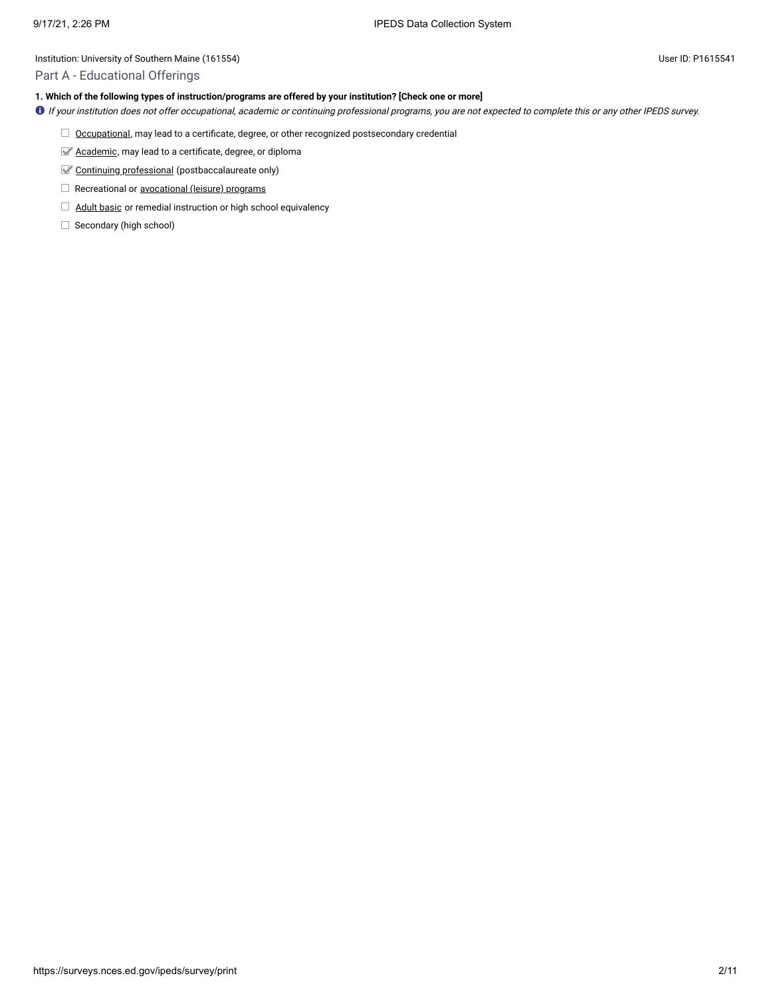# Part A - Educational Offerings

# **1. Which of the following types of instruction/programs are offered by your institution? [Check one or more]**

- If your institution does not offer occupational, academic or continuing professional programs, you are not expected to complete this or any other IPEDS survey.
	- $\Box$  [Occupational,](javascript:openglossary(423)) may lead to a certificate, degree, or other recognized postsecondary credential
	- [Academic,](javascript:openglossary(13)) may lead to a certificate, degree, or diploma
	- Continuing [professional](javascript:openglossary(139)) (postbaccalaureate only)
	- Recreational or [avocational](javascript:openglossary(69)) (leisure) programs
	- **Adult [basic](javascript:openglossary(35)) or remedial instruction or high school equivalency**
	- $\Box$  Secondary (high school)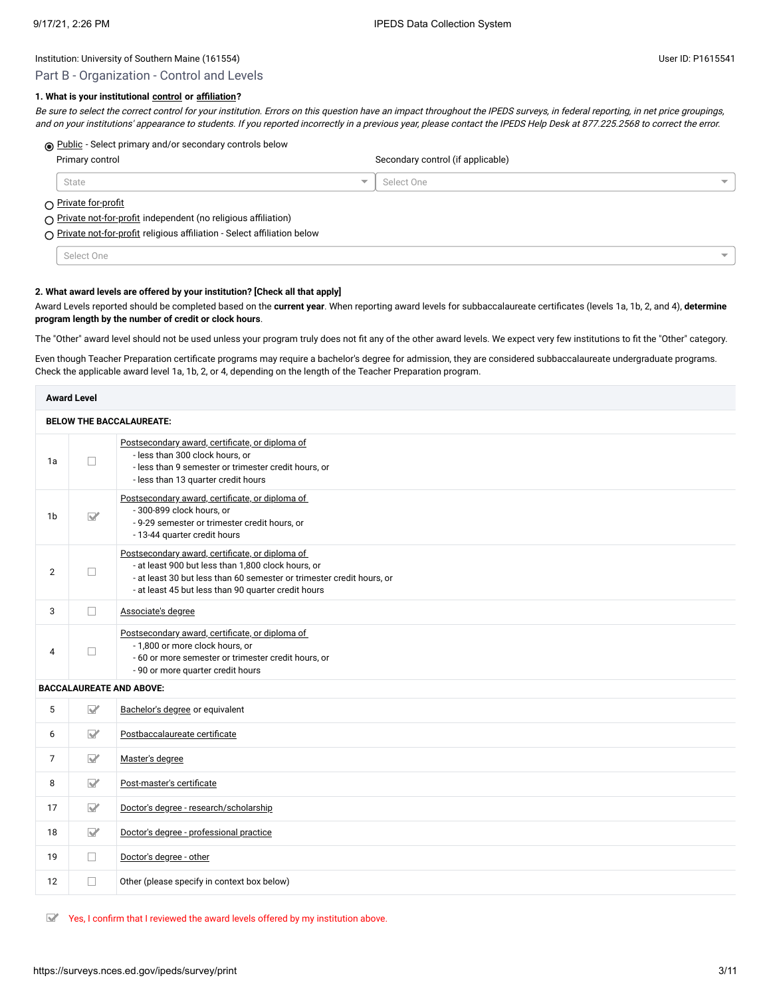# Part B - Organization - Control and Levels

# **1. What is your institutional [control](javascript:openglossary(785)) or [affiliation](javascript:openglossary(817))?**

Be sure to select the correct control for your institution. Errors on this question have an impact throughout the IPEDS surveys, in federal reporting, in net price groupings, and on your institutions' appearance to students. If you reported incorrectly in a previous year, please contact the IPEDS Help Desk at 877.225.2568 to correct the error.

# $\circledR$  [Public](javascript:openglossary(531)) - Select primary and/or secondary controls below

| Primary control                                                                                |  | Secondary control (if applicable) |                          |  |
|------------------------------------------------------------------------------------------------|--|-----------------------------------|--------------------------|--|
| State                                                                                          |  | Select One                        | $\overline{\phantom{0}}$ |  |
| ∩ <u>Private for-profit</u><br>◯ Private not-for-profit independent (no religious affiliation) |  |                                   |                          |  |

◯ [Private not-for-profit](javascript:openglossary(513)) religious affiliation - Select affiliation below

Select One

#### **2. What award levels are offered by your institution? [Check all that apply]**

Award Levels reported should be completed based on the **current year**. When reporting award levels for subbaccalaureate certificates (levels 1a, 1b, 2, and 4), **determine program length by the number of credit or clock hours**.

The "Other" award level should not be used unless your program truly does not fit any of the other award levels. We expect very few institutions to fit the "Other" category.

Even though Teacher Preparation certificate programs may require a bachelor's degree for admission, they are considered subbaccalaureate undergraduate programs. Check the applicable award level 1a, 1b, 2, or 4, depending on the length of the Teacher Preparation program.

|                                 | <b>Award Level</b>      |                                                                                                                                                                                                                                       |  |
|---------------------------------|-------------------------|---------------------------------------------------------------------------------------------------------------------------------------------------------------------------------------------------------------------------------------|--|
| <b>BELOW THE BACCALAUREATE:</b> |                         |                                                                                                                                                                                                                                       |  |
| 1a                              | П                       | Postsecondary award, certificate, or diploma of<br>- less than 300 clock hours, or<br>- less than 9 semester or trimester credit hours, or<br>- less than 13 quarter credit hours                                                     |  |
| 1b                              | $\nabla$                | Postsecondary award, certificate, or diploma of<br>- 300-899 clock hours, or<br>- 9-29 semester or trimester credit hours, or<br>- 13-44 quarter credit hours                                                                         |  |
| $\overline{2}$                  | $\Box$                  | Postsecondary award, certificate, or diploma of<br>- at least 900 but less than 1,800 clock hours, or<br>- at least 30 but less than 60 semester or trimester credit hours, or<br>- at least 45 but less than 90 quarter credit hours |  |
| 3                               | П                       | Associate's degree                                                                                                                                                                                                                    |  |
| 4                               | ш                       | Postsecondary award, certificate, or diploma of<br>- 1,800 or more clock hours, or<br>- 60 or more semester or trimester credit hours, or<br>- 90 or more quarter credit hours                                                        |  |
|                                 |                         | <b>BACCALAUREATE AND ABOVE:</b>                                                                                                                                                                                                       |  |
| 5                               | $\triangledown$         | Bachelor's degree or equivalent                                                                                                                                                                                                       |  |
| 6                               | $\triangledown$         | Postbaccalaureate certificate                                                                                                                                                                                                         |  |
| $\overline{7}$                  | $\nabla$                | Master's degree                                                                                                                                                                                                                       |  |
| 8                               | $\nabla$                | Post-master's certificate                                                                                                                                                                                                             |  |
| 17                              | $\overline{\mathbf{M}}$ | Doctor's degree - research/scholarship                                                                                                                                                                                                |  |
| 18                              | $\triangledown$         | Doctor's degree - professional practice                                                                                                                                                                                               |  |
| 19                              | $\Box$                  | Doctor's degree - other                                                                                                                                                                                                               |  |
| 12                              | П                       | Other (please specify in context box below)                                                                                                                                                                                           |  |

 $\mathbb{Y}$  Yes, I confirm that I reviewed the award levels offered by my institution above.

 $\overline{\phantom{0}}$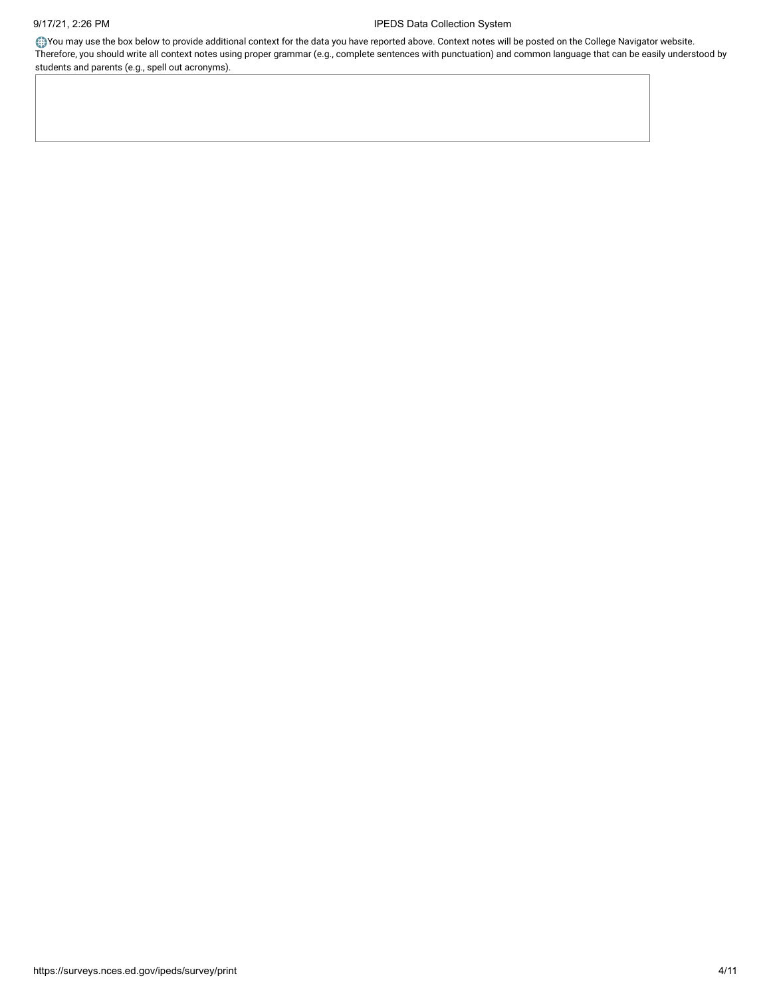You may use the box below to provide additional context for the data you have reported above. Context notes will be posted on the College Navigator website. Therefore, you should write all context notes using proper grammar (e.g., complete sentences with punctuation) and common language that can be easily understood by students and parents (e.g., spell out acronyms).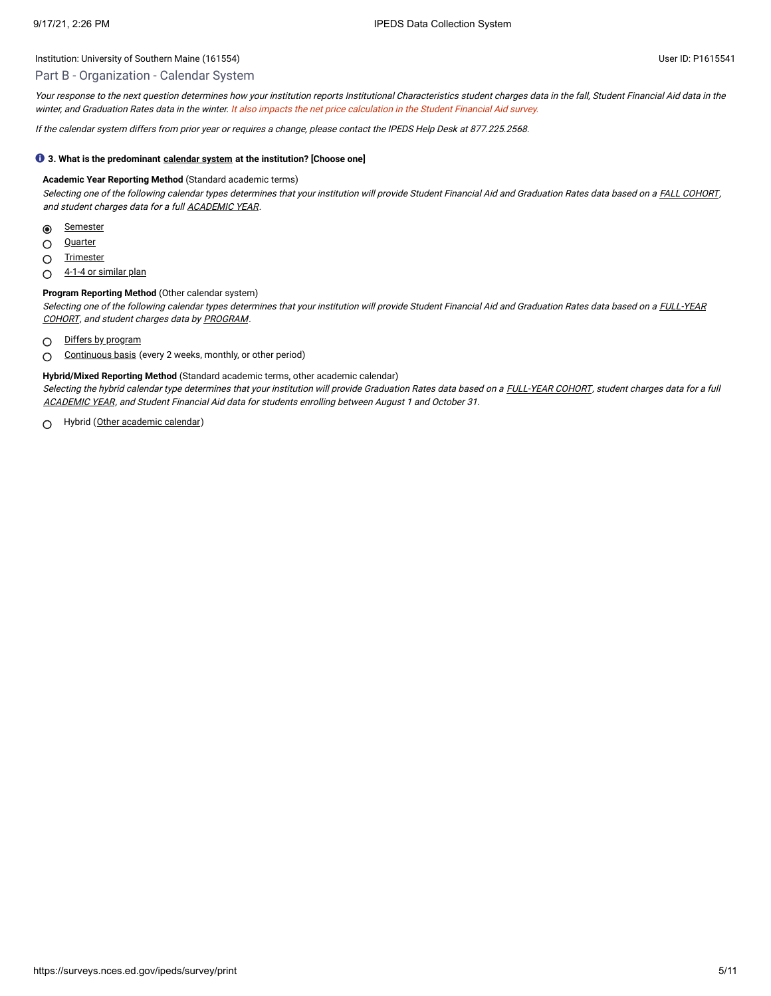### Part B - Organization - Calendar System

Your response to the next question determines how your institution reports Institutional Characteristics student charges data in the fall, Student Financial Aid data in the winter, and Graduation Rates data in the winter. It also impacts the net price calculation in the Student Financial Aid survey.

If the calendar system differs from prior year or requires <sup>a</sup> change, please contact the IPEDS Help Desk at 877.225.2568.

#### **3. What is the predominant [calendar system](javascript:openglossary(97)) at the institution? [Choose one]**

#### **Academic Year Reporting Method** (Standard academic terms)

Selecting one of the following calendar types determines that your institution will provide Student Financial Aid and Graduation Rates data based on a FALL [COHORT](javascript:openglossary(219)), and student charges data for a full **[ACADEMIC](javascript:openglossary(19)) YEAR**.

- $\odot$ **[Semester](javascript:openglossary(589))**
- **[Quarter](javascript:openglossary(537))**  $\circ$
- **[Trimester](javascript:openglossary(667))**  $\circ$
- [4-1-4 or](javascript:openglossary(247)) similar plan  $\circ$

# **Program Reporting Method** (Other calendar system)

Selecting one of the following calendar types determines that your institution will [provide Student](javascript:openglossary(261)) Financial Aid and Graduation Rates data based on a FULL-YEAR COHORT, and student charges data by [PROGRAM](javascript:openglossary(515)).

- $\bigcirc$ Differs by [program](javascript:openglossary(175))
- [Continuous](javascript:openglossary(141)) basis (every 2 weeks, monthly, or other period)  $\bigcap$

#### **Hybrid/Mixed Reporting Method** (Standard academic terms, other academic calendar)

Selecting the hybrid calendar type determines that your institution will provide Graduation Rates data based on a [FULL-YEAR](javascript:openglossary(261)) COHORT, student charges data for a full [ACADEMIC](javascript:openglossary(19)) YEAR, and Student Financial Aid data for students enrolling between August 1 and October 31.

Hybrid (Other [academic](javascript:openglossary(717)) calendar) $\bigcap$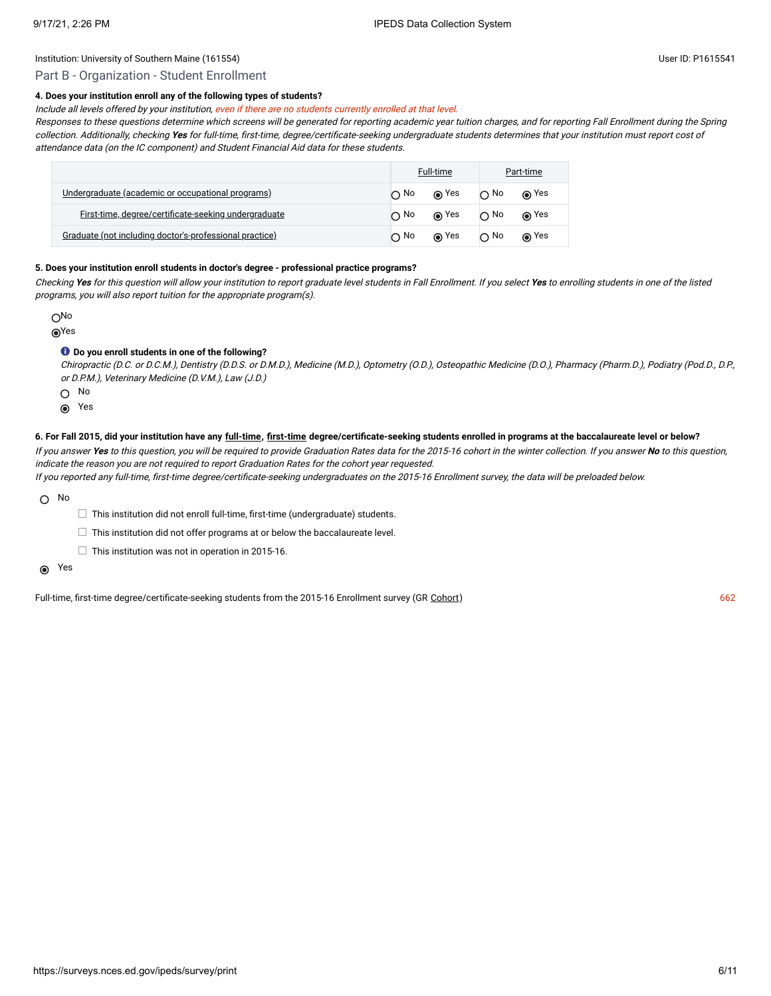# Part B - Organization - Student Enrollment

# **4. Does your institution enroll any of the following types of students?**

Include all levels offered by your institution, even if there are no students currently enrolled at that level.

Responses to these questions determine which screens will be generated for reporting academic year tuition charges, and for reporting Fall Enrollment during the Spring collection. Additionally, checking **Yes** for full-time, first-time, degree/certificate-seeking undergraduate students determines that your institution must report cost of attendance data (on the IC component) and Student Financial Aid data for these students.

|                                                          | Full-time |             | Part-time    |         |
|----------------------------------------------------------|-----------|-------------|--------------|---------|
| <u>Undergraduate (academic or occupational programs)</u> | $\cap$ No | $\odot$ Yes | $\bigcap$ No | ⊚ Yes   |
| First-time, degree/certificate-seeking undergraduate     | ∩ No      | ⊚ Yes       | $\cap$ No    | (∩) Yes |
| Graduate (not including doctor's-professional practice)  | $\cap$ No | ⊚ Yes       | $\cap$ No    | in Yes∩ |

#### **5. Does your institution enroll students in doctor's degree - professional practice programs?**

Checking **Yes** for this question will allow your institution to report graduate level students in Fall Enrollment. If you select **Yes** to enrolling students in one of the listed programs, you will also report tuition for the appropriate program(s).

ONo Yes

# **Do you enroll students in one of the following?**

Chiropractic (D.C. or D.C.M.), Dentistry (D.D.S. or D.M.D.), Medicine (M.D.), Optometry (O.D.), Osteopathic Medicine (D.O.), Pharmacy (Pharm.D.), Podiatry (Pod.D., D.P., or D.P.M.), Veterinary Medicine (D.V.M.), Law (J.D.)

O No

**◎** Yes

#### **6. For Fall 2015, did your institution have any [full-time](javascript:openglossary(259)), [first-time](javascript:openglossary(241)) degree/certificate-seeking students enrolled in programs at the baccalaureate level or below?**

If you answer **Yes** to this question, you will be required to provide Graduation Rates data for the 2015-16 cohort in the winter collection. If you answer **No** to this question, indicate the reason you are not required to report Graduation Rates for the cohort year requested.

If you reported any full-time, first-time degree/certificate-seeking undergraduates on the 2015-16 Enrollment survey, the data will be preloaded below.

 $\bigcap$  No

 $\Box$  This institution did not enroll full-time, first-time (undergraduate) students.

 $\Box$  This institution did not offer programs at or below the baccalaureate level.

 $\Box$  This institution was not in operation in 2015-16.

Yes

Full-time, first-time degree/certificate-seeking students from the 2015-16 Enrollment survey (GR [Cohort](javascript:openglossary(119))) 662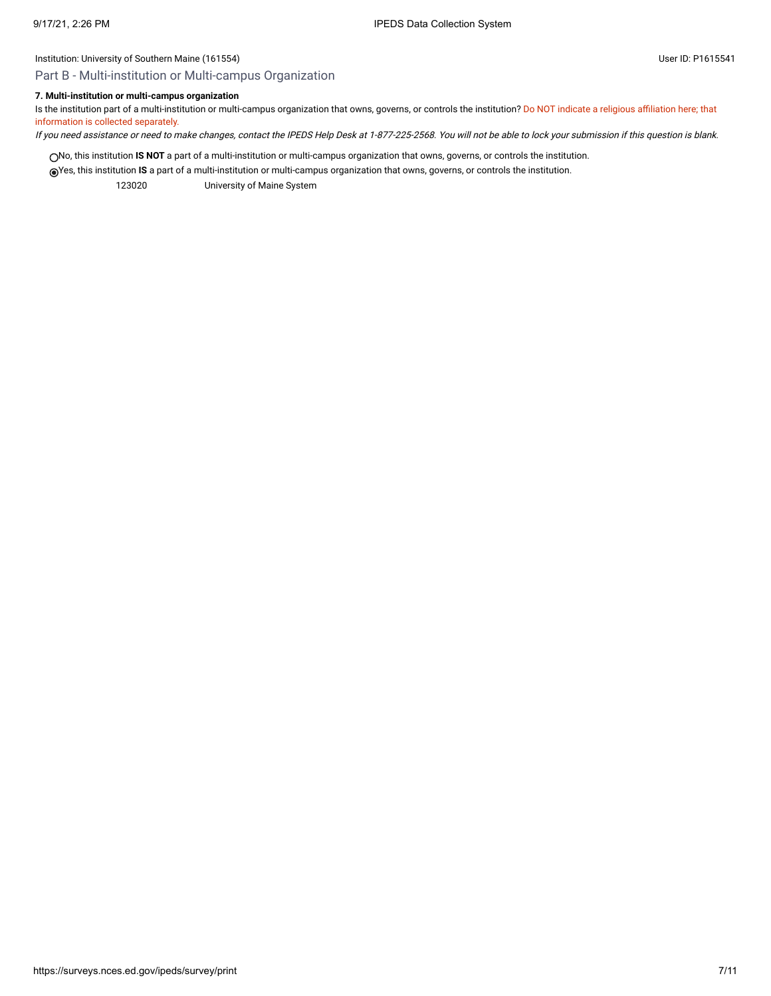# Part B - Multi-institution or Multi-campus Organization

# **7. Multi-institution or multi-campus organization**

Is the institution part of a multi-institution or multi-campus organization that owns, governs, or controls the institution? Do NOT indicate a religious affiliation here; that information is collected separately.

If you need assistance or need to make changes, contact the IPEDS Help Desk at 1-877-225-2568. You will not be able to lock your submission if this question is blank.

No, this institution **IS NOT** a part of a multi-institution or multi-campus organization that owns, governs, or controls the institution.

Yes, this institution **IS** a part of a multi-institution or multi-campus organization that owns, governs, or controls the institution.

123020 University of Maine System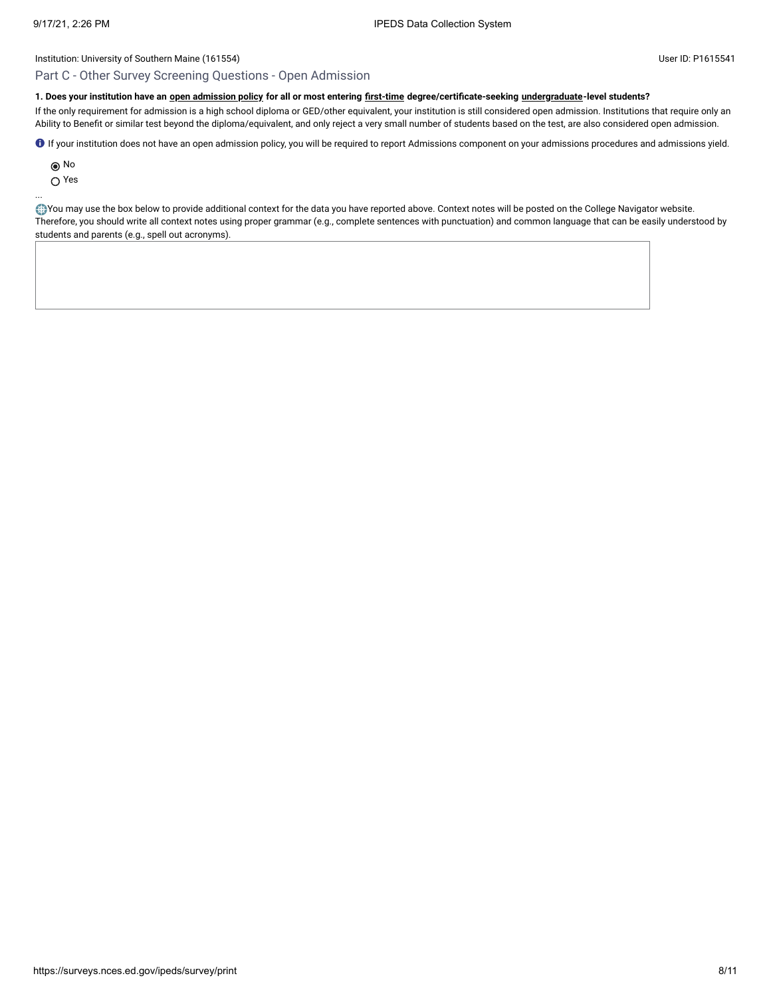# Part C - Other Survey Screening Questions - Open Admission

# **1. Does your institution have an [open admission policy](javascript:openglossary(435)) for all or most entering [first-time](javascript:openglossary(241)) degree/certificate-seeking [undergraduate-](javascript:openglossary(677))level students?**

If the only requirement for admission is a high school diploma or GED/other equivalent, your institution is still considered open admission. Institutions that require only an Ability to Benefit or similar test beyond the diploma/equivalent, and only reject a very small number of students based on the test, are also considered open admission.

If your institution does not have an open admission policy, you will be required to report Admissions component on your admissions procedures and admissions yield.

No

Yes

...

You may use the box below to provide additional context for the data you have reported above. Context notes will be posted on the College Navigator website. Therefore, you should write all context notes using proper grammar (e.g., complete sentences with punctuation) and common language that can be easily understood by students and parents (e.g., spell out acronyms).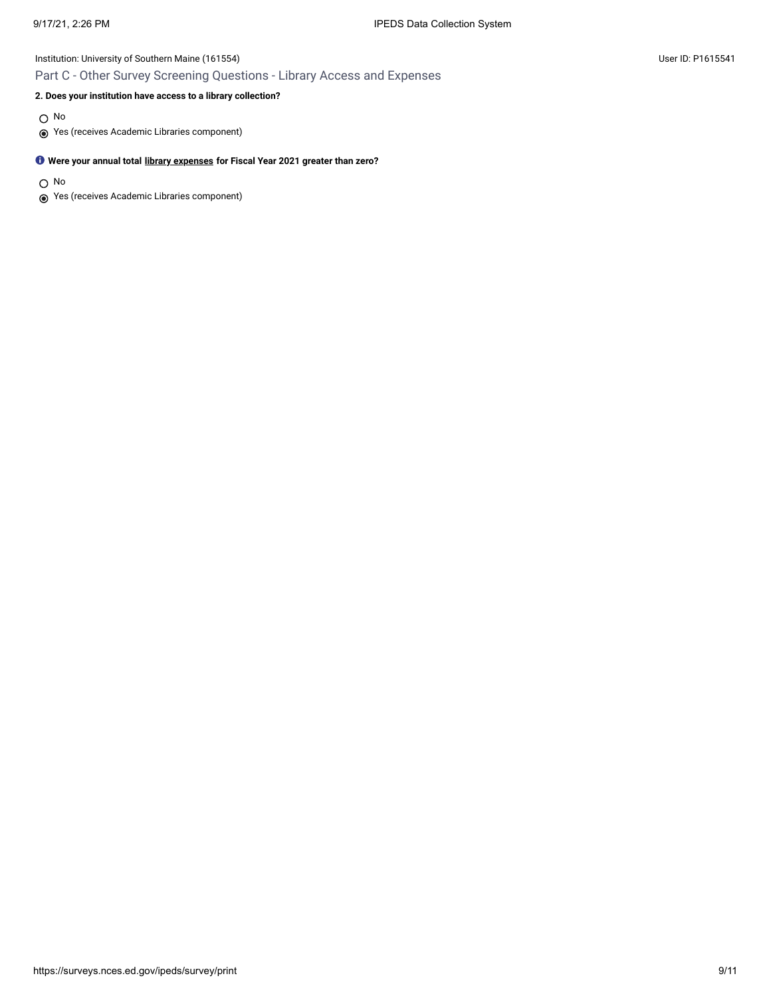# Institution: University of Southern Maine (161554) User ID: P1615541 Part C - Other Survey Screening Questions - Library Access and Expenses

# **2. Does your institution have access to a library collection?**

O No

Yes (receives Academic Libraries component)

# **Were your annual total [library expenses](javascript:openglossary(1040)) for Fiscal Year 2021 greater than zero?**

O No

Yes (receives Academic Libraries component)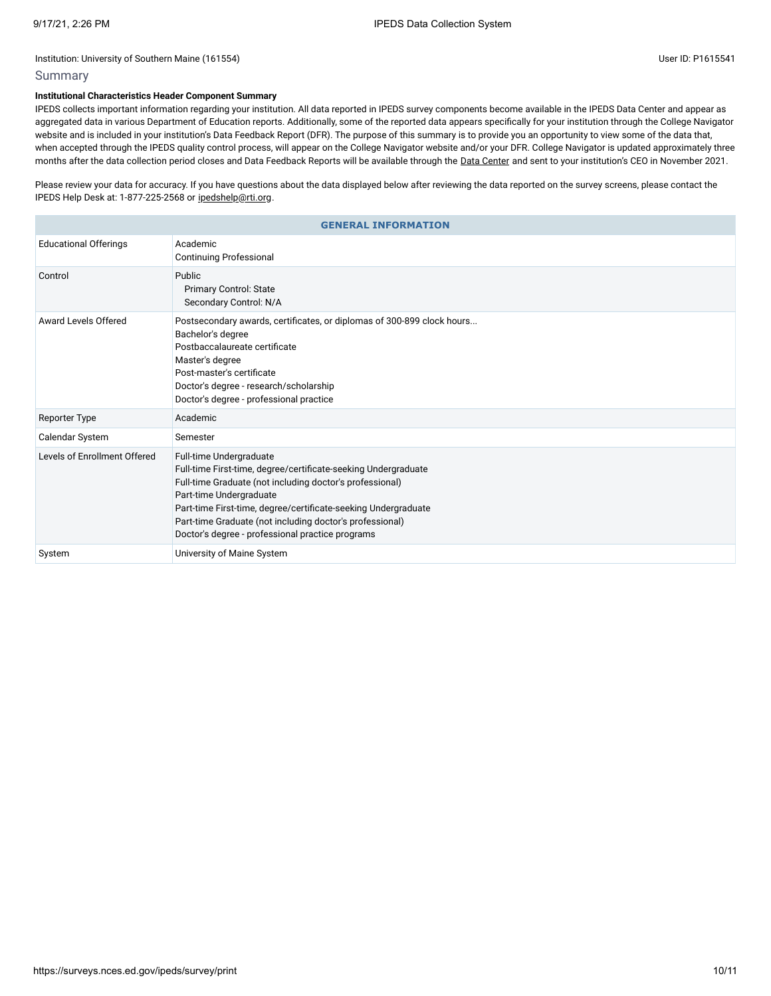# Summary

# **Institutional Characteristics Header Component Summary**

IPEDS collects important information regarding your institution. All data reported in IPEDS survey components become available in the IPEDS Data Center and appear as aggregated data in various Department of Education reports. Additionally, some of the reported data appears specifically for your institution through the College Navigator website and is included in your institution's Data Feedback Report (DFR). The purpose of this summary is to provide you an opportunity to view some of the data that, when accepted through the IPEDS quality control process, will appear on the College Navigator website and/or your DFR. College Navigator is updated approximately three months after the data collection period closes and Data Feedback Reports will be available through the Data [Center](https://nces.ed.gov/ipeds/use-the-data) and sent to your institution's CEO in November 2021.

Please review your data for accuracy. If you have questions about the data displayed below after reviewing the data reported on the survey screens, please contact the IPEDS Help Desk at: 1-877-225-2568 or [ipedshelp@rti.org.](mailto:ipedshelp@rti.org)

| <b>GENERAL INFORMATION</b>   |                                                                                                                                                                                                                                                                                                                                                                    |  |
|------------------------------|--------------------------------------------------------------------------------------------------------------------------------------------------------------------------------------------------------------------------------------------------------------------------------------------------------------------------------------------------------------------|--|
| <b>Educational Offerings</b> | Academic<br><b>Continuing Professional</b>                                                                                                                                                                                                                                                                                                                         |  |
| Control                      | Public<br><b>Primary Control: State</b><br>Secondary Control: N/A                                                                                                                                                                                                                                                                                                  |  |
| Award Levels Offered         | Postsecondary awards, certificates, or diplomas of 300-899 clock hours<br>Bachelor's degree<br>Postbaccalaureate certificate<br>Master's degree<br>Post-master's certificate<br>Doctor's degree - research/scholarship<br>Doctor's degree - professional practice                                                                                                  |  |
| <b>Reporter Type</b>         | Academic                                                                                                                                                                                                                                                                                                                                                           |  |
| Calendar System              | Semester                                                                                                                                                                                                                                                                                                                                                           |  |
| Levels of Enrollment Offered | Full-time Undergraduate<br>Full-time First-time, degree/certificate-seeking Undergraduate<br>Full-time Graduate (not including doctor's professional)<br>Part-time Undergraduate<br>Part-time First-time, degree/certificate-seeking Undergraduate<br>Part-time Graduate (not including doctor's professional)<br>Doctor's degree - professional practice programs |  |
| System                       | University of Maine System                                                                                                                                                                                                                                                                                                                                         |  |